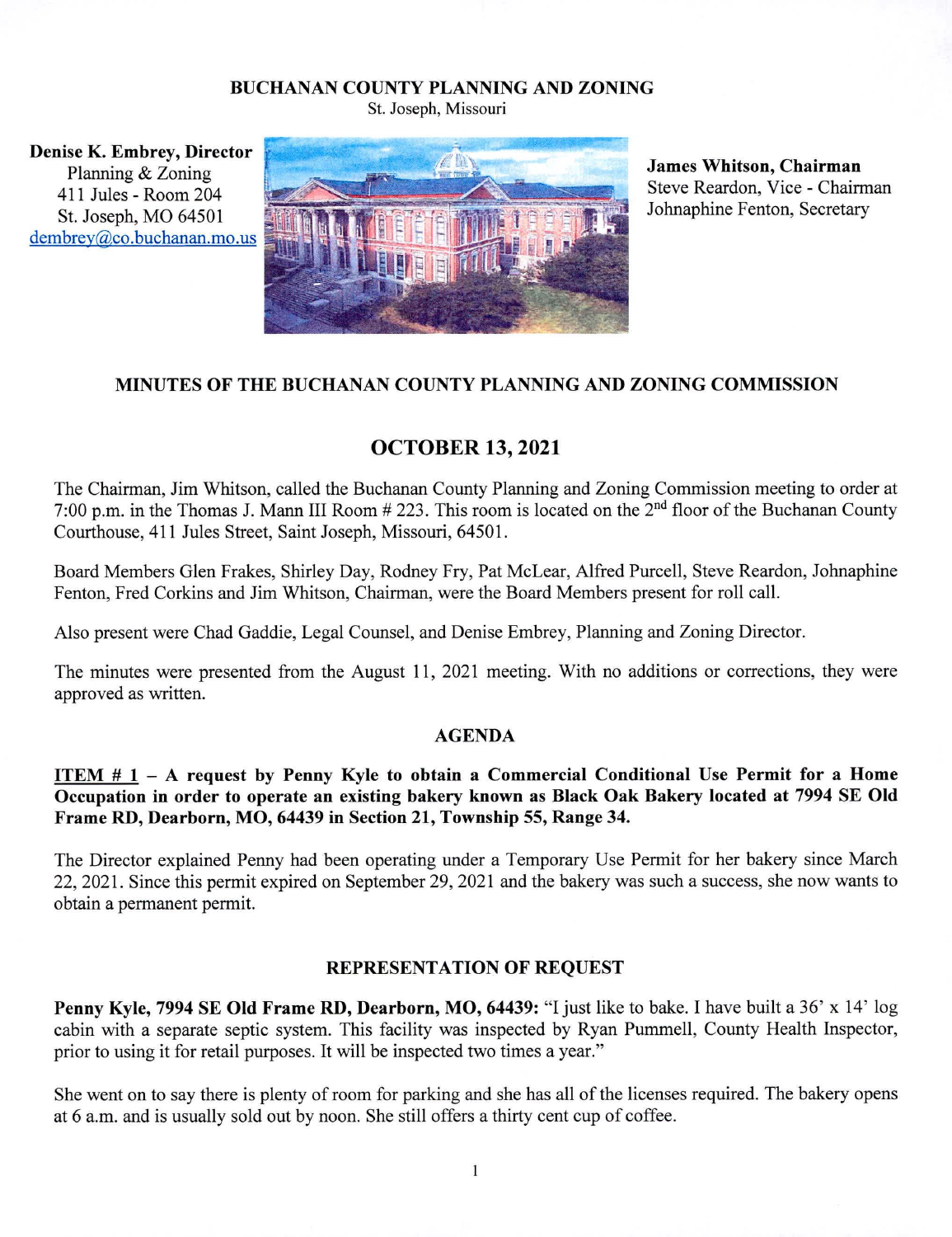## **BUCHANAN COUNTY PLANNING AND ZONING**

St. Joseph, Missouri

**Denise K. Embrey, Director**  Planning & Zoning 411 Jules-Room 204 St. Joseph, MO 64501 dembrey@co.buchanan.mo.us



**James Whitson, Chairman**  Steve Reardon, Vice - Chairman Johnaphine Fenton, Secretary

## **MINUTES OF THE** BUCHANAN **COUNTY PLANNING AND ZONING COMMISSION**

# **OCTOBER 13, 2021**

The Chairman, Jim Whitson, called the Buchanan County Planning and Zoning Commission meeting to order at 7:00 p.m. in the Thomas J. Mann III Room # 223. This room is located on the 2" floor of the Buchanan County Courthouse, 411 Jules Street, Saint Joseph, Missouri, 64501.

Board Members Glen Frakes, Shirley Day, Rodney Fry, Pat McLear, Alfred Purcell, Steve Reardon, Johnaphine Fenton, Fred Corkins and Jim Whitson, Chairman, were the Board Members present for roll call.

Also present were Chad Gaddie, Legal Counsel, and Denise Embrey, Planning and Zoning Director.

The minutes were presented from the August 11, 2021 meeting. With no additions or corrections, they were approved as written.

### **AGENDA**

## **ITEM # 1 – A request by Penny Kyle to obtain a Commercial Conditional Use Permit for a Home Occupation in order to operate an existing bakery known as Black Oak Bakery located at 7994 SE Old Frame RD, Dearborn, MO, 64439 in Section 21, Township 55, Range 34.**

The Director explained Penny had been operating under a Temporary Use Permit for her bakery since March 22, 2021. Since this permit expired on September 29, 2021 and the bakery was such a success, she now wants to obtain a permanent permit.

## **REPRESENTATION OF REQUEST**

**Penny Kyle, 7994 SE Old Frame RD, Dearborn, MO, 64439:** "I just like to bake. I have built a 36' x 14' log cabin with a separate septic system. This facility was inspected by Ryan Pummell, County Health Inspector, prior to using it for retail purposes. It will be inspected two times a year."

She went on to say there is plenty of room for parking and she has all of the licenses required. The bakery opens at 6 a.m. and is usually sold out by noon. She still offers a thirty cent cup of coffee.